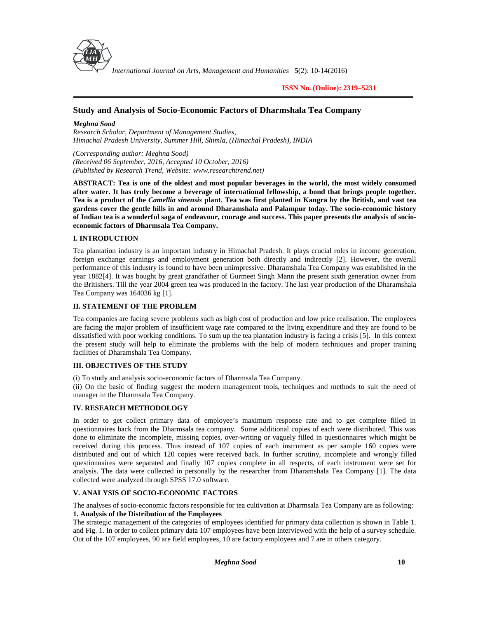

*International Journal on Arts, Management and Humanities* **5**(2): 10-14(2016)

**ISSN No. (Online): 2319–5231**

# **Study and Analysis of Socio-Economic Factors of Dharmshala Tea Company**

*Meghna Sood*

*Research Scholar, Department of Management Studies, Himachal Pradesh University, Summer Hill, Shimla, (Himachal Pradesh), INDIA*

*(Corresponding author: Meghna Sood) (Received 06 September, 2016, Accepted 10 October, 2016) (Published by Research Trend, Website: <www.researchtrend.net>)*

**ABSTRACT: Tea is one of the oldest and most popular beverages in the world, the most widely consumed after water. It has truly become a beverage of international fellowship, a bond that brings people together. Tea is a product of the** *Camellia sinensis* **plant. Tea was first planted in Kangra by the British, and vast tea gardens cover the gentle hills in and around Dharamshala and Palampur today. The socio-economic history of Indian tea is a wonderful saga of endeavour, courage and success. This paper presents the analysis of socio economic factors of Dharmsala Tea Company.**

## **I. INTRODUCTION**

Tea plantation industry is an important industry in Himachal Pradesh. It plays crucial roles in income generation, foreign exchange earnings and employment generation both directly and indirectly [2]. However, the overall performance of this industry is found to have been unimpressive. Dharamshala Tea Company was established in the year 1882[4]. It was bought by great grandfather of Gurmeet Singh Mann the present sixth generation owner from the Britishers. Till the year 2004 green tea was produced in the factory. The last year production of the Dharamshala Tea Company was 164036 kg [1].

## **II. STATEMENT OF THE PROBLEM**

Tea companies are facing severe problems such as high cost of production and low price realisation. The employees are facing the major problem of insufficient wage rate compared to the living expenditure and they are found to be dissatisfied with poor working conditions. To sum up the tea plantation industry is facing a crisis [5]. In this context the present study will help to eliminate the problems with the help of modern techniques and proper training facilities of Dharamshala Tea Company.

## **III. OBJECTIVES OF THE STUDY**

(i) To study and analysis socio-economic factors of Dharmsala Tea Company.

(ii) On the basic of finding suggest the modern management tools, techniques and methods to suit the need of manager in the Dharmsala Tea Company.

# **IV. RESEARCH METHODOLOGY**

In order to get collect primary data of employee's maximum response rate and to get complete filled in questionnaires back from the Dharmsala tea company. Some additional copies of each were distributed. This was done to eliminate the incomplete, missing copies, over-writing or vaguely filled in questionnaires which might be received during this process. Thus instead of 107 copies of each instrument as per sample 160 copies were distributed and out of which 120 copies were received back. In further scrutiny, incomplete and wrongly filled questionnaires were separated and finally 107 copies complete in all respects, of each instrument were set for analysis. The data were collected in personally by the researcher from Dharamshala Tea Company [1]. The data collected were analyzed through SPSS 17.0 software.

## **V. ANALYSIS OF SOCIO-ECONOMIC FACTORS**

The analyses of socio-economic factors responsible for tea cultivation at Dharmsala Tea Company are as following: **1. Analysis of the Distribution of the Employees**

The strategic management of the categories of employees identified for primary data collection is shown in Table 1. and Fig. 1. In order to collect primary data 107 employees have been interviewed with the help of a survey schedule. Out of the 107 employees, 90 are field employees, 10 are factory employees and 7 are in others category.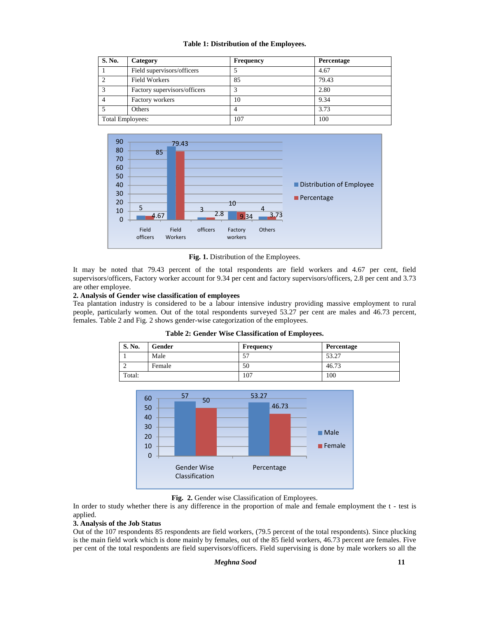## **Table 1: Distribution of the Employees.**

| S. No.           | Category                     | <b>Frequency</b> | Percentage |
|------------------|------------------------------|------------------|------------|
|                  | Field supervisors/officers   |                  | 4.67       |
|                  | <b>Field Workers</b>         | 85               | 79.43      |
|                  | Factory supervisors/officers |                  | 2.80       |
|                  | Factory workers              | 10               | 9.34       |
|                  | Others                       |                  | 3.73       |
| Total Employees: |                              | 107              | 100        |



**Fig. 1.** Distribution of the Employees.

It may be noted that 79.43 percent of the total respondents are field workers and 4.67 per cent, field supervisors/officers, Factory worker account for 9.34 per cent and factory supervisors/officers, 2.8 per cent and 3.73 are other employee.

## **2. Analysis of Gender wise classification of employees**

Tea plantation industry is considered to be a labour intensive industry providing massive employment to rural people, particularly women. Out of the total respondents surveyed 53.27 per cent are males and 46.73 percent, females. Table 2 and Fig. 2 shows gender-wise categorization of the employees.

| Table 2: Gender Wise Classification of Employees. |  |  |  |
|---------------------------------------------------|--|--|--|
|---------------------------------------------------|--|--|--|

| S. No. | Gender | <b>Frequency</b> | Percentage |
|--------|--------|------------------|------------|
|        | Male   | --<br>ا ب        | 53.27      |
|        | Female | 50               | 46.73      |
| Total: |        | 107              | 100        |



**Fig. 2.** Gender wise Classification of Employees.

In order to study whether there is any difference in the proportion of male and female employment the t - test is applied.

#### **3. Analysis of the Job Status**

Out of the 107 respondents 85 respondents are field workers, (79.5 percent of the total respondents). Since plucking is the main field work which is done mainly by females, out of the 85 field workers, 46.73 percent are females. Five per cent of the total respondents are field supervisors/officers. Field supervising is done by male workers so all the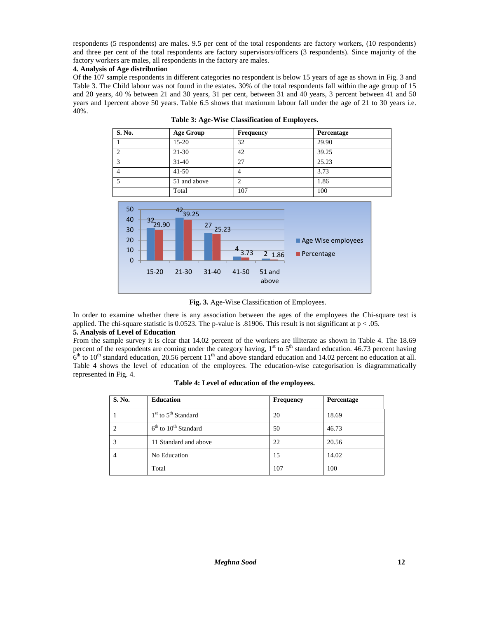respondents (5 respondents) are males. 9.5 per cent of the total respondents are factory workers, (10 respondents) and three per cent of the total respondents are factory supervisors/officers (3 respondents). Since majority of the factory workers are males, all respondents in the factory are males.

## **4. Analysis of Age distribution**

Of the 107 sample respondents in different categories no respondent is below 15 years of age as shown in Fig. 3 and Table 3. The Child labour was not found in the estates. 30% of the total respondents fall within the age group of 15 and 20 years, 40 % between 21 and 30 years, 31 per cent, between 31 and 40 years, 3 percent between 41 and 50 years and 1percent above 50 years. Table 6.5 shows that maximum labour fall under the age of 21 to 30 years i.e. 40%.

| <b>S. No.</b> | <b>Age Group</b> | <b>Frequency</b> | Percentage |
|---------------|------------------|------------------|------------|
|               | $15-20$          | 32               | 29.90      |
|               | $21 - 30$        | 42               | 39.25      |
|               | $31 - 40$        | 27               | 25.23      |
|               | $41 - 50$        |                  | 3.73       |
|               | 51 and above     |                  | 1.86       |
|               | Total            | 107              | 100        |

**Table 3: Age-Wise Classification of Employees.**



**Fig. 3.** Age-Wise Classification of Employees.

In order to examine whether there is any association between the ages of the employees the Chi-square test is applied. The chi-square statistic is 0.0523. The p-value is .81906. This result is not significant at  $p < .05$ .

# **5. Analysis of Level of Education**

From the sample survey it is clear that 14.02 percent of the workers are illiterate as shown in Table 4. The 18.69 percent of the respondents are coming under the category having,  $1<sup>st</sup>$  to  $5<sup>th</sup>$  standard education. 46.73 percent having  $6<sup>th</sup>$  to 10<sup>th</sup> standard education, 20.56 percent 11<sup>th</sup> and above standard education and 14.02 percent no education at all. Table 4 shows the level of education of the employees. The education-wise categorisation is diagrammatically represented in Fig. 4.

| S. No. | <b>Education</b>         | <b>Frequency</b> | Percentage |
|--------|--------------------------|------------------|------------|
|        | $1st$ to $5th$ Standard  | 20               | 18.69      |
|        | $6th$ to $10th$ Standard | 50               | 46.73      |
|        | 11 Standard and above    | 22               | 20.56      |
|        | No Education             | 15               | 14.02      |
|        | Total                    | 107              | 100        |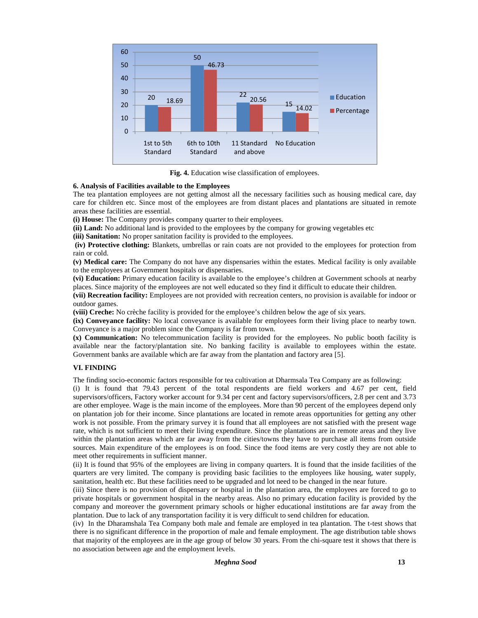

**Fig. 4.** Education wise classification of employees.

## **6. Analysis of Facilities available to the Employees**

The tea plantation employees are not getting almost all the necessary facilities such as housing medical care, day care for children etc. Since most of the employees are from distant places and plantations are situated in remote areas these facilities are essential.

**(i) House:** The Company provides company quarter to their employees.

**(ii) Land:** No additional land is provided to the employees by the company for growing vegetables etc

**(iii) Sanitation:** No proper sanitation facility is provided to the employees.

**(iv) Protective clothing:** Blankets, umbrellas or rain coats are not provided to the employees for protection from rain or cold.

**(v) Medical care:** The Company do not have any dispensaries within the estates. Medical facility is only available to the employees at Government hospitals or dispensaries.

**(vi) Education:** Primary education facility is available to the employee's children at Government schools at nearby places. Since majority of the employees are not well educated so they find it difficult to educate their children.

**(vii) Recreation facility:** Employees are not provided with recreation centers, no provision is available for indoor or outdoor games.

**(viii) Creche:** No crèche facility is provided for the employee's children below the age of six years.

**(ix) Conveyance facility:** No local conveyance is available for employees form their living place to nearby town. Conveyance is a major problem since the Company is far from town.

**(x) Communication:** No telecommunication facility is provided for the employees. No public booth facility is available near the factory/plantation site. No banking facility is available to employees within the estate. Government banks are available which are far away from the plantation and factory area [5].

## **VI. FINDING**

The finding socio-economic factors responsible for tea cultivation at Dharmsala Tea Company are as following:

(i) It is found that 79.43 percent of the total respondents are field workers and 4.67 per cent, field supervisors/officers, Factory worker account for 9.34 per cent and factory supervisors/officers, 2.8 per cent and 3.73 are other employee. Wage is the main income of the employees. More than 90 percent of the employees depend only on plantation job for their income. Since plantations are located in remote areas opportunities for getting any other work is not possible. From the primary survey it is found that all employees are not satisfied with the present wage rate, which is not sufficient to meet their living expenditure. Since the plantations are in remote areas and they live within the plantation areas which are far away from the cities/towns they have to purchase all items from outside sources. Main expenditure of the employees is on food. Since the food items are very costly they are not able to meet other requirements in sufficient manner.

(ii) It is found that 95% of the employees are living in company quarters. It is found that the inside facilities of the quarters are very limited. The company is providing basic facilities to the employees like housing, water supply, sanitation, health etc. But these facilities need to be upgraded and lot need to be changed in the near future.

(iii) Since there is no provision of dispensary or hospital in the plantation area, the employees are forced to go to private hospitals or government hospital in the nearby areas. Also no primary education facility is provided by the company and moreover the government primary schools or higher educational institutions are far away from the plantation. Due to lack of any transportation facility it is very difficult to send children for education.

(iv) In the Dharamshala Tea Company both male and female are employed in tea plantation. The t-test shows that there is no significant difference in the proportion of male and female employment. The age distribution table shows that majority of the employees are in the age group of below 30 years. From the chi-square test it shows that there is no association between age and the employment levels.